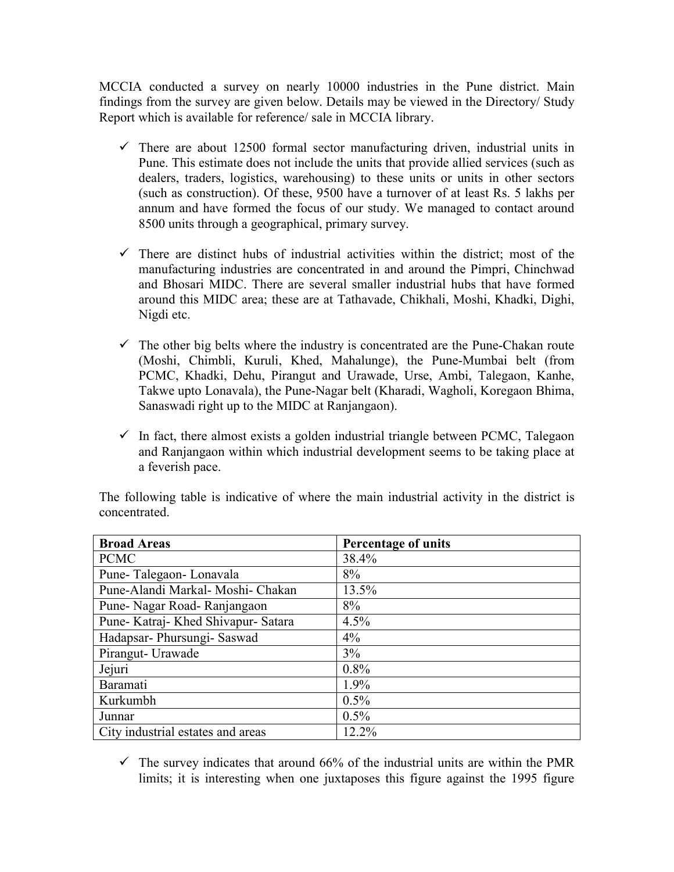MCCIA conducted a survey on nearly 10000 industries in the Pune district. Main findings from the survey are given below. Details may be viewed in the Directory/ Study Report which is available for reference/ sale in MCCIA library.

- $\checkmark$  There are about 12500 formal sector manufacturing driven, industrial units in Pune. This estimate does not include the units that provide allied services (such as dealers, traders, logistics, warehousing) to these units or units in other sectors (such as construction). Of these, 9500 have a turnover of at least Rs. 5 lakhs per annum and have formed the focus of our study. We managed to contact around 8500 units through a geographical, primary survey.
- $\checkmark$  There are distinct hubs of industrial activities within the district; most of the manufacturing industries are concentrated in and around the Pimpri, Chinchwad and Bhosari MIDC. There are several smaller industrial hubs that have formed around this MIDC area; these are at Tathavade, Chikhali, Moshi, Khadki, Dighi, Nigdi etc.
- $\checkmark$  The other big belts where the industry is concentrated are the Pune-Chakan route (Moshi, Chimbli, Kuruli, Khed, Mahalunge), the Pune-Mumbai belt (from PCMC, Khadki, Dehu, Pirangut and Urawade, Urse, Ambi, Talegaon, Kanhe, Takwe upto Lonavala), the Pune-Nagar belt (Kharadi, Wagholi, Koregaon Bhima, Sanaswadi right up to the MIDC at Ranjangaon).
- $\checkmark$  In fact, there almost exists a golden industrial triangle between PCMC, Talegaon and Ranjangaon within which industrial development seems to be taking place at a feverish pace.

| <b>Broad Areas</b>                | <b>Percentage of units</b> |
|-----------------------------------|----------------------------|
| <b>PCMC</b>                       | 38.4%                      |
| Pune-Talegaon-Lonavala            | 8%                         |
| Pune-Alandi Markal- Moshi- Chakan | 13.5%                      |
| Pune-Nagar Road-Ranjangaon        | 8%                         |
| Pune-Katraj-Khed Shivapur-Satara  | 4.5%                       |
| Hadapsar- Phursungi- Saswad       | $4\%$                      |
| Pirangut- Urawade                 | 3%                         |
| Jejuri                            | 0.8%                       |
| Baramati                          | 1.9%                       |
| Kurkumbh                          | 0.5%                       |
| Junnar                            | $0.5\%$                    |
| City industrial estates and areas | 12.2%                      |

The following table is indicative of where the main industrial activity in the district is concentrated.

 $\checkmark$  The survey indicates that around 66% of the industrial units are within the PMR limits; it is interesting when one juxtaposes this figure against the 1995 figure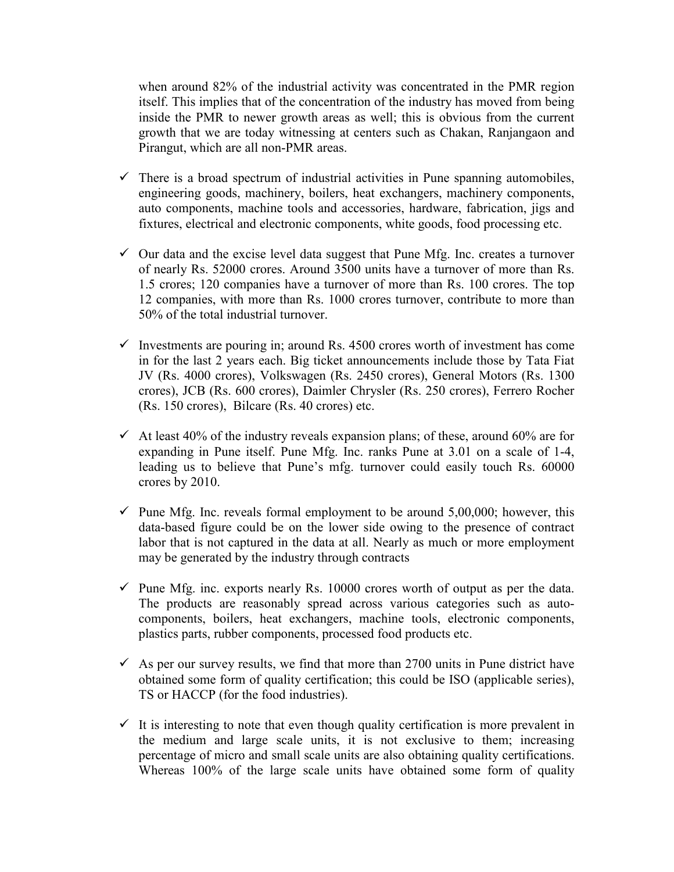when around 82% of the industrial activity was concentrated in the PMR region itself. This implies that of the concentration of the industry has moved from being inside the PMR to newer growth areas as well; this is obvious from the current growth that we are today witnessing at centers such as Chakan, Ranjangaon and Pirangut, which are all non-PMR areas.

- $\checkmark$  There is a broad spectrum of industrial activities in Pune spanning automobiles, engineering goods, machinery, boilers, heat exchangers, machinery components, auto components, machine tools and accessories, hardware, fabrication, jigs and fixtures, electrical and electronic components, white goods, food processing etc.
- $\checkmark$  Our data and the excise level data suggest that Pune Mfg. Inc. creates a turnover of nearly Rs. 52000 crores. Around 3500 units have a turnover of more than Rs. 1.5 crores; 120 companies have a turnover of more than Rs. 100 crores. The top 12 companies, with more than Rs. 1000 crores turnover, contribute to more than 50% of the total industrial turnover.
- $\checkmark$  Investments are pouring in; around Rs. 4500 crores worth of investment has come in for the last 2 years each. Big ticket announcements include those by Tata Fiat JV (Rs. 4000 crores), Volkswagen (Rs. 2450 crores), General Motors (Rs. 1300 crores), JCB (Rs. 600 crores), Daimler Chrysler (Rs. 250 crores), Ferrero Rocher (Rs. 150 crores), Bilcare (Rs. 40 crores) etc.
- $\checkmark$  At least 40% of the industry reveals expansion plans; of these, around 60% are for expanding in Pune itself. Pune Mfg. Inc. ranks Pune at 3.01 on a scale of 1-4, leading us to believe that Pune's mfg. turnover could easily touch Rs. 60000 crores by 2010.
- $\checkmark$  Pune Mfg. Inc. reveals formal employment to be around 5,00,000; however, this data-based figure could be on the lower side owing to the presence of contract labor that is not captured in the data at all. Nearly as much or more employment may be generated by the industry through contracts
- $\checkmark$  Pune Mfg. inc. exports nearly Rs. 10000 crores worth of output as per the data. The products are reasonably spread across various categories such as autocomponents, boilers, heat exchangers, machine tools, electronic components, plastics parts, rubber components, processed food products etc.
- $\sim$  As per our survey results, we find that more than 2700 units in Pune district have obtained some form of quality certification; this could be ISO (applicable series), TS or HACCP (for the food industries).
- $\checkmark$  It is interesting to note that even though quality certification is more prevalent in the medium and large scale units, it is not exclusive to them; increasing percentage of micro and small scale units are also obtaining quality certifications. Whereas 100% of the large scale units have obtained some form of quality